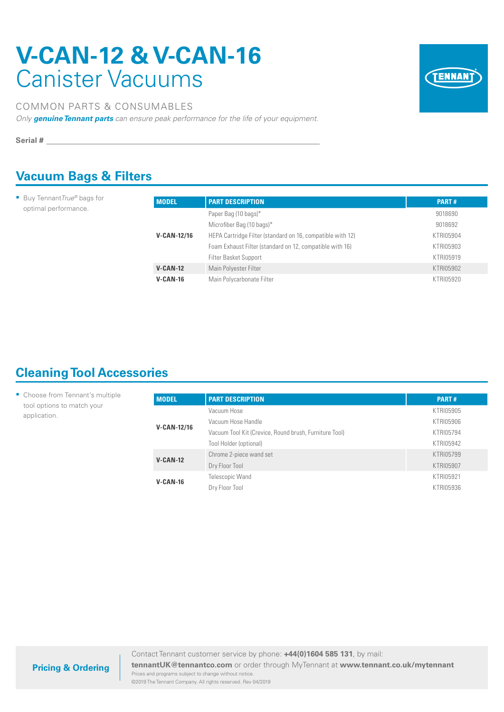# **V-CAN-12 & V-CAN-16**  Canister Vacuums



#### COMMON PARTS & CONSUMABLES

*Only genuine Tennant parts can ensure peak performance for the life of your equipment.*

**Serial #**

### **Vacuum Bags & Filters**

■ Buy Tennant*True®* bags for optimal performance.

| <b>MODEL</b>  | <b>PART DESCRIPTION</b>                                    | <b>PART#</b> |
|---------------|------------------------------------------------------------|--------------|
|               | Paper Bag (10 bags)*                                       | 9018690      |
|               | Microfiber Bag (10 bags)*                                  | 9018692      |
| $V-CAN-12/16$ | HEPA Cartridge Filter (standard on 16, compatible with 12) | KTRI05904    |
|               | Foam Exhaust Filter (standard on 12, compatible with 16)   | KTRI05903    |
|               | Filter Basket Support                                      | KTRI05919    |
| $V-CAN-12$    | Main Polyester Filter                                      | KTRI05902    |
| $V-CAN-16$    | Main Polycarbonate Filter                                  | KTRI05920    |

## **Cleaning Tool Accessories**

| • Choose from Tennant's multiple           | <b>MODEL</b>       | <b>PART DESCRIPTION</b>                                | <b>PART#</b> |
|--------------------------------------------|--------------------|--------------------------------------------------------|--------------|
| tool options to match your<br>application. |                    | Vacuum Hose                                            | KTRI05905    |
|                                            |                    | Vacuum Hose Handle                                     | KTRI05906    |
|                                            | <b>V-CAN-12/16</b> | Vacuum Tool Kit (Crevice, Round brush, Furniture Tool) | KTRI05794    |
|                                            |                    | Tool Holder (optional)                                 | KTRI05942    |
|                                            | $V-CAN-12$         | Chrome 2-piece wand set                                | KTRI05799    |
|                                            |                    | Dry Floor Tool                                         | KTRI05907    |
|                                            | $V-CAN-16$         | Telescopic Wand                                        | KTRI05921    |
|                                            |                    | Dry Floor Tool                                         | KTRI05936    |

Contact Tennant customer service by phone: **+44(0)1604 585 131**, by mail: **tennantUK@tennantco.com** or order through MyTennant at **www.tennant.co.uk/mytennant** Prices and programs subject to change without notice.

©2019 The Tennant Company. All rights reserved. Rev 04/2019

**Pricing & Ordering**